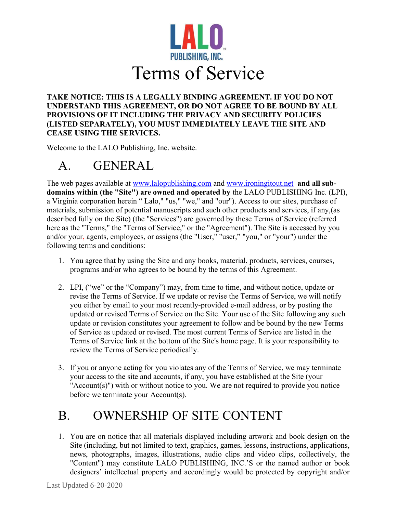

#### TAKE NOTICE: THIS IS A LEGALLY BINDING AGREEMENT. IF YOU DO NOT UNDERSTAND THIS AGREEMENT, OR DO NOT AGREE TO BE BOUND BY ALL PROVISIONS OF IT INCLUDING THE PRIVACY AND SECURITY POLICIES (LISTED SEPARATELY), YOU MUST IMMEDIATELY LEAVE THE SITE AND CEASE USING THE SERVICES.

Welcome to the LALO Publishing, Inc. website.

# A. GENERAL

The web pages available at www.lalopublishing.com and www.ironingitout.net and all subdomains within (the "Site") are owned and operated by the LALO PUBLISHING Inc. (LPI), a Virginia corporation herein " Lalo," "us," "we," and "our"). Access to our sites, purchase of materials, submission of potential manuscripts and such other products and services, if any,(as described fully on the Site) (the "Services") are governed by these Terms of Service (referred here as the "Terms," the "Terms of Service," or the "Agreement"). The Site is accessed by you and/or your, agents, employees, or assigns (the "User," "user," "you," or "your") under the following terms and conditions:

- 1. You agree that by using the Site and any books, material, products, services, courses, programs and/or who agrees to be bound by the terms of this Agreement.
- 2. LPI, ("we" or the "Company") may, from time to time, and without notice, update or revise the Terms of Service. If we update or revise the Terms of Service, we will notify you either by email to your most recently-provided e-mail address, or by posting the updated or revised Terms of Service on the Site. Your use of the Site following any such update or revision constitutes your agreement to follow and be bound by the new Terms of Service as updated or revised. The most current Terms of Service are listed in the Terms of Service link at the bottom of the Site's home page. It is your responsibility to review the Terms of Service periodically.
- 3. If you or anyone acting for you violates any of the Terms of Service, we may terminate your access to the site and accounts, if any, you have established at the Site (your "Account(s)") with or without notice to you. We are not required to provide you notice before we terminate your Account(s).

## B. OWNERSHIP OF SITE CONTENT

1. You are on notice that all materials displayed including artwork and book design on the Site (including, but not limited to text, graphics, games, lessons, instructions, applications, news, photographs, images, illustrations, audio clips and video clips, collectively, the "Content") may constitute LALO PUBLISHING, INC.'S or the named author or book designers' intellectual property and accordingly would be protected by copyright and/or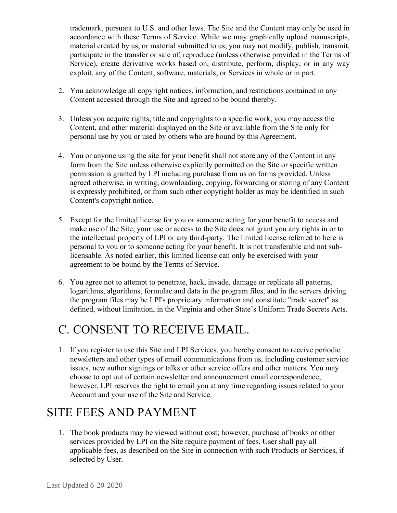trademark, pursuant to U.S. and other laws. The Site and the Content may only be used in accordance with these Terms of Service. While we may graphically upload manuscripts, material created by us, or material submitted to us, you may not modify, publish, transmit, participate in the transfer or sale of, reproduce (unless otherwise provided in the Terms of Service), create derivative works based on, distribute, perform, display, or in any way exploit, any of the Content, software, materials, or Services in whole or in part.

- 2. You acknowledge all copyright notices, information, and restrictions contained in any Content accessed through the Site and agreed to be bound thereby.
- 3. Unless you acquire rights, title and copyrights to a specific work, you may access the Content, and other material displayed on the Site or available from the Site only for personal use by you or used by others who are bound by this Agreement.
- 4. You or anyone using the site for your benefit shall not store any of the Content in any form from the Site unless otherwise explicitly permitted on the Site or specific written permission is granted by LPI including purchase from us on forms provided. Unless agreed otherwise, in writing, downloading, copying, forwarding or storing of any Content is expressly prohibited, or from such other copyright holder as may be identified in such Content's copyright notice.
- 5. Except for the limited license for you or someone acting for your benefit to access and make use of the Site, your use or access to the Site does not grant you any rights in or to the intellectual property of LPI or any third-party. The limited license referred to here is personal to you or to someone acting for your benefit. It is not transferable and not sublicensable. As noted earlier, this limited license can only be exercised with your agreement to be bound by the Terms of Service.
- 6. You agree not to attempt to penetrate, hack, invade, damage or replicate all patterns, logarithms, algorithms, formulae and data in the program files, and in the servers driving the program files may be LPI's proprietary information and constitute "trade secret" as defined, without limitation, in the Virginia and other State's Uniform Trade Secrets Acts.

### C. CONSENT TO RECEIVE EMAIL.

1. If you register to use this Site and LPI Services, you hereby consent to receive periodic newsletters and other types of email communications from us, including customer service issues, new author signings or talks or other service offers and other matters. You may choose to opt out of certain newsletter and announcement email correspondence; however, LPI reserves the right to email you at any time regarding issues related to your Account and your use of the Site and Service.

#### SITE FEES AND PAYMENT

1. The book products may be viewed without cost; however, purchase of books or other services provided by LPI on the Site require payment of fees. User shall pay all applicable fees, as described on the Site in connection with such Products or Services, if selected by User.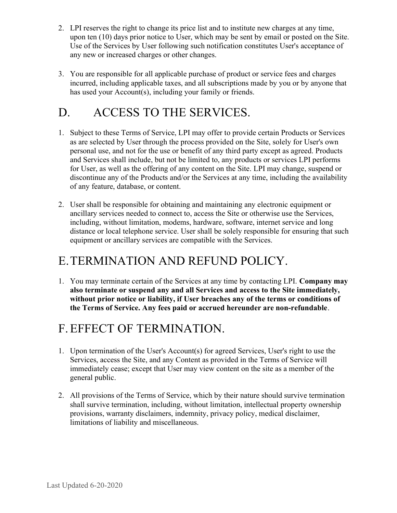- 2. LPI reserves the right to change its price list and to institute new charges at any time, upon ten (10) days prior notice to User, which may be sent by email or posted on the Site. Use of the Services by User following such notification constitutes User's acceptance of any new or increased charges or other changes.
- 3. You are responsible for all applicable purchase of product or service fees and charges incurred, including applicable taxes, and all subscriptions made by you or by anyone that has used your Account(s), including your family or friends.

### D. ACCESS TO THE SERVICES.

- 1. Subject to these Terms of Service, LPI may offer to provide certain Products or Services as are selected by User through the process provided on the Site, solely for User's own personal use, and not for the use or benefit of any third party except as agreed. Products and Services shall include, but not be limited to, any products or services LPI performs for User, as well as the offering of any content on the Site. LPI may change, suspend or discontinue any of the Products and/or the Services at any time, including the availability of any feature, database, or content.
- 2. User shall be responsible for obtaining and maintaining any electronic equipment or ancillary services needed to connect to, access the Site or otherwise use the Services, including, without limitation, modems, hardware, software, internet service and long distance or local telephone service. User shall be solely responsible for ensuring that such equipment or ancillary services are compatible with the Services.

#### E.TERMINATION AND REFUND POLICY.

1. You may terminate certain of the Services at any time by contacting LPI. Company may also terminate or suspend any and all Services and access to the Site immediately, without prior notice or liability, if User breaches any of the terms or conditions of the Terms of Service. Any fees paid or accrued hereunder are non-refundable.

#### F.EFFECT OF TERMINATION.

- 1. Upon termination of the User's Account(s) for agreed Services, User's right to use the Services, access the Site, and any Content as provided in the Terms of Service will immediately cease; except that User may view content on the site as a member of the general public.
- 2. All provisions of the Terms of Service, which by their nature should survive termination shall survive termination, including, without limitation, intellectual property ownership provisions, warranty disclaimers, indemnity, privacy policy, medical disclaimer, limitations of liability and miscellaneous.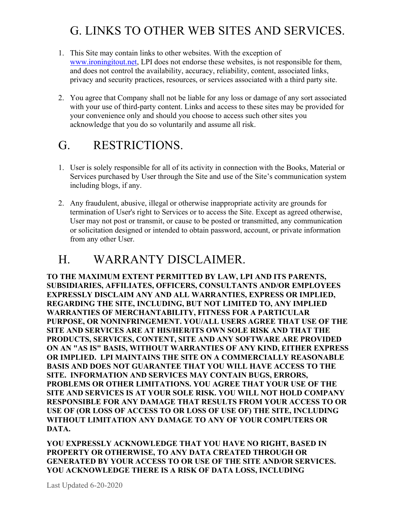### G. LINKS TO OTHER WEB SITES AND SERVICES.

- 1. This Site may contain links to other websites. With the exception of www.ironingitout.net, LPI does not endorse these websites, is not responsible for them, and does not control the availability, accuracy, reliability, content, associated links, privacy and security practices, resources, or services associated with a third party site.
- 2. You agree that Company shall not be liable for any loss or damage of any sort associated with your use of third-party content. Links and access to these sites may be provided for your convenience only and should you choose to access such other sites you acknowledge that you do so voluntarily and assume all risk.

#### G. RESTRICTIONS.

- 1. User is solely responsible for all of its activity in connection with the Books, Material or Services purchased by User through the Site and use of the Site's communication system including blogs, if any.
- 2. Any fraudulent, abusive, illegal or otherwise inappropriate activity are grounds for termination of User's right to Services or to access the Site. Except as agreed otherwise, User may not post or transmit, or cause to be posted or transmitted, any communication or solicitation designed or intended to obtain password, account, or private information from any other User.

#### H. WARRANTY DISCLAIMER.

TO THE MAXIMUM EXTENT PERMITTED BY LAW, LPI AND ITS PARENTS, SUBSIDIARIES, AFFILIATES, OFFICERS, CONSULTANTS AND/OR EMPLOYEES EXPRESSLY DISCLAIM ANY AND ALL WARRANTIES, EXPRESS OR IMPLIED, REGARDING THE SITE, INCLUDING, BUT NOT LIMITED TO, ANY IMPLIED WARRANTIES OF MERCHANTABILITY, FITNESS FOR A PARTICULAR PURPOSE, OR NONINFRINGEMENT. YOU/ALL USERS AGREE THAT USE OF THE SITE AND SERVICES ARE AT HIS/HER/ITS OWN SOLE RISK AND THAT THE PRODUCTS, SERVICES, CONTENT, SITE AND ANY SOFTWARE ARE PROVIDED ON AN "AS IS" BASIS, WITHOUT WARRANTIES OF ANY KIND, EITHER EXPRESS OR IMPLIED. LPI MAINTAINS THE SITE ON A COMMERCIALLY REASONABLE BASIS AND DOES NOT GUARANTEE THAT YOU WILL HAVE ACCESS TO THE SITE. INFORMATION AND SERVICES MAY CONTAIN BUGS, ERRORS, PROBLEMS OR OTHER LIMITATIONS. YOU AGREE THAT YOUR USE OF THE SITE AND SERVICES IS AT YOUR SOLE RISK. YOU WILL NOT HOLD COMPANY RESPONSIBLE FOR ANY DAMAGE THAT RESULTS FROM YOUR ACCESS TO OR USE OF (OR LOSS OF ACCESS TO OR LOSS OF USE OF) THE SITE, INCLUDING WITHOUT LIMITATION ANY DAMAGE TO ANY OF YOUR COMPUTERS OR DATA.

YOU EXPRESSLY ACKNOWLEDGE THAT YOU HAVE NO RIGHT, BASED IN PROPERTY OR OTHERWISE, TO ANY DATA CREATED THROUGH OR GENERATED BY YOUR ACCESS TO OR USE OF THE SITE AND/OR SERVICES. YOU ACKNOWLEDGE THERE IS A RISK OF DATA LOSS, INCLUDING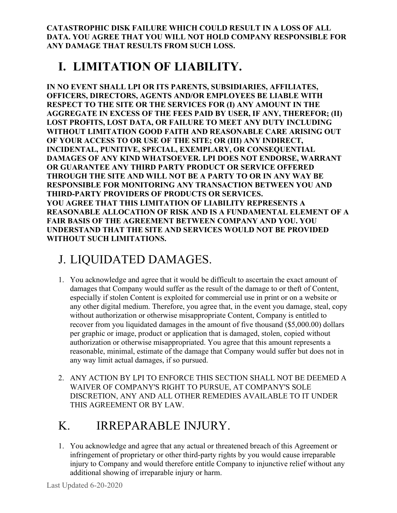CATASTROPHIC DISK FAILURE WHICH COULD RESULT IN A LOSS OF ALL DATA. YOU AGREE THAT YOU WILL NOT HOLD COMPANY RESPONSIBLE FOR ANY DAMAGE THAT RESULTS FROM SUCH LOSS.

### I. LIMITATION OF LIABILITY.

IN NO EVENT SHALL LPI OR ITS PARENTS, SUBSIDIARIES, AFFILIATES, OFFICERS, DIRECTORS, AGENTS AND/OR EMPLOYEES BE LIABLE WITH RESPECT TO THE SITE OR THE SERVICES FOR (I) ANY AMOUNT IN THE AGGREGATE IN EXCESS OF THE FEES PAID BY USER, IF ANY, THEREFOR; (II) LOST PROFITS, LOST DATA, OR FAILURE TO MEET ANY DUTY INCLUDING WITHOUT LIMITATION GOOD FAITH AND REASONABLE CARE ARISING OUT OF YOUR ACCESS TO OR USE OF THE SITE; OR (III) ANY INDIRECT, INCIDENTAL, PUNITIVE, SPECIAL, EXEMPLARY, OR CONSEQUENTIAL DAMAGES OF ANY KIND WHATSOEVER. LPI DOES NOT ENDORSE, WARRANT OR GUARANTEE ANY THIRD PARTY PRODUCT OR SERVICE OFFERED THROUGH THE SITE AND WILL NOT BE A PARTY TO OR IN ANY WAY BE RESPONSIBLE FOR MONITORING ANY TRANSACTION BETWEEN YOU AND THIRD-PARTY PROVIDERS OF PRODUCTS OR SERVICES. YOU AGREE THAT THIS LIMITATION OF LIABILITY REPRESENTS A REASONABLE ALLOCATION OF RISK AND IS A FUNDAMENTAL ELEMENT OF A FAIR BASIS OF THE AGREEMENT BETWEEN COMPANY AND YOU. YOU UNDERSTAND THAT THE SITE AND SERVICES WOULD NOT BE PROVIDED WITHOUT SUCH LIMITATIONS.

### J. LIQUIDATED DAMAGES.

- 1. You acknowledge and agree that it would be difficult to ascertain the exact amount of damages that Company would suffer as the result of the damage to or theft of Content, especially if stolen Content is exploited for commercial use in print or on a website or any other digital medium. Therefore, you agree that, in the event you damage, steal, copy without authorization or otherwise misappropriate Content, Company is entitled to recover from you liquidated damages in the amount of five thousand (\$5,000.00) dollars per graphic or image, product or application that is damaged, stolen, copied without authorization or otherwise misappropriated. You agree that this amount represents a reasonable, minimal, estimate of the damage that Company would suffer but does not in any way limit actual damages, if so pursued.
- 2. ANY ACTION BY LPI TO ENFORCE THIS SECTION SHALL NOT BE DEEMED A WAIVER OF COMPANY'S RIGHT TO PURSUE, AT COMPANY'S SOLE DISCRETION, ANY AND ALL OTHER REMEDIES AVAILABLE TO IT UNDER THIS AGREEMENT OR BY LAW.

# K. IRREPARABLE INJURY.

1. You acknowledge and agree that any actual or threatened breach of this Agreement or infringement of proprietary or other third-party rights by you would cause irreparable injury to Company and would therefore entitle Company to injunctive relief without any additional showing of irreparable injury or harm.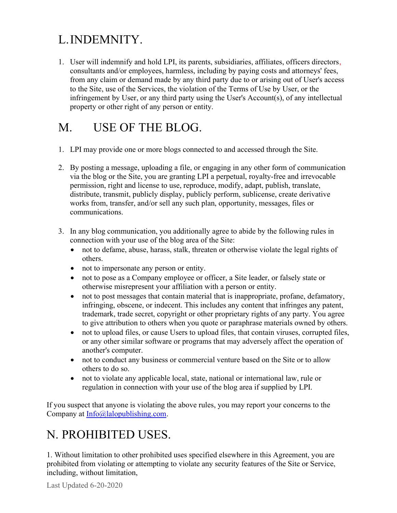### L.INDEMNITY.

1. User will indemnify and hold LPI, its parents, subsidiaries, affiliates, officers directors, consultants and/or employees, harmless, including by paying costs and attorneys' fees, from any claim or demand made by any third party due to or arising out of User's access to the Site, use of the Services, the violation of the Terms of Use by User, or the infringement by User, or any third party using the User's Account(s), of any intellectual property or other right of any person or entity.

### M. USE OF THE BLOG.

- 1. LPI may provide one or more blogs connected to and accessed through the Site.
- 2. By posting a message, uploading a file, or engaging in any other form of communication via the blog or the Site, you are granting LPI a perpetual, royalty-free and irrevocable permission, right and license to use, reproduce, modify, adapt, publish, translate, distribute, transmit, publicly display, publicly perform, sublicense, create derivative works from, transfer, and/or sell any such plan, opportunity, messages, files or communications.
- 3. In any blog communication, you additionally agree to abide by the following rules in connection with your use of the blog area of the Site:
	- not to defame, abuse, harass, stalk, threaten or otherwise violate the legal rights of others.
	- not to impersonate any person or entity.
	- not to pose as a Company employee or officer, a Site leader, or falsely state or otherwise misrepresent your affiliation with a person or entity.
	- not to post messages that contain material that is inappropriate, profane, defamatory, infringing, obscene, or indecent. This includes any content that infringes any patent, trademark, trade secret, copyright or other proprietary rights of any party. You agree to give attribution to others when you quote or paraphrase materials owned by others.
	- not to upload files, or cause Users to upload files, that contain viruses, corrupted files, or any other similar software or programs that may adversely affect the operation of another's computer.
	- not to conduct any business or commercial venture based on the Site or to allow others to do so.
	- not to violate any applicable local, state, national or international law, rule or regulation in connection with your use of the blog area if supplied by LPI.

If you suspect that anyone is violating the above rules, you may report your concerns to the Company at Info@lalopublishing.com.

### N. PROHIBITED USES.

1. Without limitation to other prohibited uses specified elsewhere in this Agreement, you are prohibited from violating or attempting to violate any security features of the Site or Service, including, without limitation,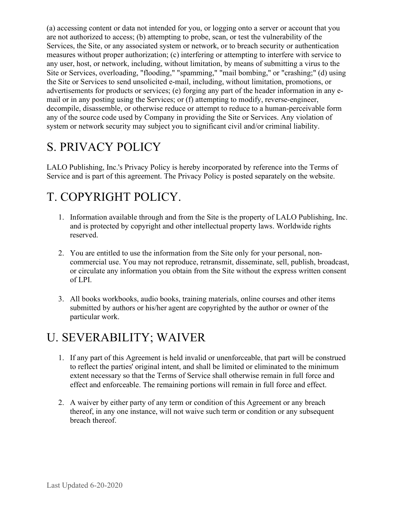(a) accessing content or data not intended for you, or logging onto a server or account that you are not authorized to access; (b) attempting to probe, scan, or test the vulnerability of the Services, the Site, or any associated system or network, or to breach security or authentication measures without proper authorization; (c) interfering or attempting to interfere with service to any user, host, or network, including, without limitation, by means of submitting a virus to the Site or Services, overloading, "flooding," "spamming," "mail bombing," or "crashing;" (d) using the Site or Services to send unsolicited e-mail, including, without limitation, promotions, or advertisements for products or services; (e) forging any part of the header information in any email or in any posting using the Services; or (f) attempting to modify, reverse-engineer, decompile, disassemble, or otherwise reduce or attempt to reduce to a human-perceivable form any of the source code used by Company in providing the Site or Services. Any violation of system or network security may subject you to significant civil and/or criminal liability.

### S. PRIVACY POLICY

LALO Publishing, Inc.'s Privacy Policy is hereby incorporated by reference into the Terms of Service and is part of this agreement. The Privacy Policy is posted separately on the website.

### T. COPYRIGHT POLICY.

- 1. Information available through and from the Site is the property of LALO Publishing, Inc. and is protected by copyright and other intellectual property laws. Worldwide rights reserved.
- 2. You are entitled to use the information from the Site only for your personal, noncommercial use. You may not reproduce, retransmit, disseminate, sell, publish, broadcast, or circulate any information you obtain from the Site without the express written consent of LPI.
- 3. All books workbooks, audio books, training materials, online courses and other items submitted by authors or his/her agent are copyrighted by the author or owner of the particular work.

### U. SEVERABILITY; WAIVER

- 1. If any part of this Agreement is held invalid or unenforceable, that part will be construed to reflect the parties' original intent, and shall be limited or eliminated to the minimum extent necessary so that the Terms of Service shall otherwise remain in full force and effect and enforceable. The remaining portions will remain in full force and effect.
- 2. A waiver by either party of any term or condition of this Agreement or any breach thereof, in any one instance, will not waive such term or condition or any subsequent breach thereof.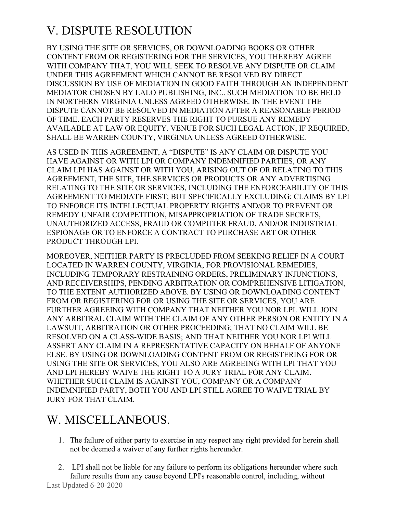### V. DISPUTE RESOLUTION

BY USING THE SITE OR SERVICES, OR DOWNLOADING BOOKS OR OTHER CONTENT FROM OR REGISTERING FOR THE SERVICES, YOU THEREBY AGREE WITH COMPANY THAT, YOU WILL SEEK TO RESOLVE ANY DISPUTE OR CLAIM UNDER THIS AGREEMENT WHICH CANNOT BE RESOLVED BY DIRECT DISCUSSION BY USE OF MEDIATION IN GOOD FAITH THROUGH AN INDEPENDENT MEDIATOR CHOSEN BY LALO PUBLISHING, INC.. SUCH MEDIATION TO BE HELD IN NORTHERN VIRGINIA UNLESS AGREED OTHERWISE. IN THE EVENT THE DISPUTE CANNOT BE RESOLVED IN MEDIATION AFTER A REASONABLE PERIOD OF TIME. EACH PARTY RESERVES THE RIGHT TO PURSUE ANY REMEDY AVAILABLE AT LAW OR EQUITY. VENUE FOR SUCH LEGAL ACTION, IF REQUIRED, SHALL BE WARREN COUNTY, VIRGINIA UNLESS AGREED OTHERWISE.

AS USED IN THIS AGREEMENT, A "DISPUTE" IS ANY CLAIM OR DISPUTE YOU HAVE AGAINST OR WITH LPI OR COMPANY INDEMNIFIED PARTIES, OR ANY CLAIM LPI HAS AGAINST OR WITH YOU, ARISING OUT OF OR RELATING TO THIS AGREEMENT, THE SITE, THE SERVICES OR PRODUCTS OR ANY ADVERTISING RELATING TO THE SITE OR SERVICES, INCLUDING THE ENFORCEABILITY OF THIS AGREEMENT TO MEDIATE FIRST; BUT SPECIFICALLY EXCLUDING: CLAIMS BY LPI TO ENFORCE ITS INTELLECTUAL PROPERTY RIGHTS AND/OR TO PREVENT OR REMEDY UNFAIR COMPETITION, MISAPPROPRIATION OF TRADE SECRETS, UNAUTHORIZED ACCESS, FRAUD OR COMPUTER FRAUD, AND/OR INDUSTRIAL ESPIONAGE OR TO ENFORCE A CONTRACT TO PURCHASE ART OR OTHER PRODUCT THROUGH LPI.

MOREOVER, NEITHER PARTY IS PRECLUDED FROM SEEKING RELIEF IN A COURT LOCATED IN WARREN COUNTY, VIRGINIA, FOR PROVISIONAL REMEDIES, INCLUDING TEMPORARY RESTRAINING ORDERS, PRELIMINARY INJUNCTIONS, AND RECEIVERSHIPS, PENDING ARBITRATION OR COMPREHENSIVE LITIGATION, TO THE EXTENT AUTHORIZED ABOVE. BY USING OR DOWNLOADING CONTENT FROM OR REGISTERING FOR OR USING THE SITE OR SERVICES, YOU ARE FURTHER AGREEING WITH COMPANY THAT NEITHER YOU NOR LPI. WILL JOIN ANY ARBITRAL CLAIM WITH THE CLAIM OF ANY OTHER PERSON OR ENTITY IN A LAWSUIT, ARBITRATION OR OTHER PROCEEDING; THAT NO CLAIM WILL BE RESOLVED ON A CLASS-WIDE BASIS; AND THAT NEITHER YOU NOR LPI WILL ASSERT ANY CLAIM IN A REPRESENTATIVE CAPACITY ON BEHALF OF ANYONE ELSE. BY USING OR DOWNLOADING CONTENT FROM OR REGISTERING FOR OR USING THE SITE OR SERVICES, YOU ALSO ARE AGREEING WITH LPI THAT YOU AND LPI HEREBY WAIVE THE RIGHT TO A JURY TRIAL FOR ANY CLAIM. WHETHER SUCH CLAIM IS AGAINST YOU, COMPANY OR A COMPANY INDEMNIFIED PARTY, BOTH YOU AND LPI STILL AGREE TO WAIVE TRIAL BY JURY FOR THAT CLAIM.

#### W. MISCELLANEOUS.

- 1. The failure of either party to exercise in any respect any right provided for herein shall not be deemed a waiver of any further rights hereunder.
- 2. LPI shall not be liable for any failure to perform its obligations hereunder where such failure results from any cause beyond LPI's reasonable control, including, without